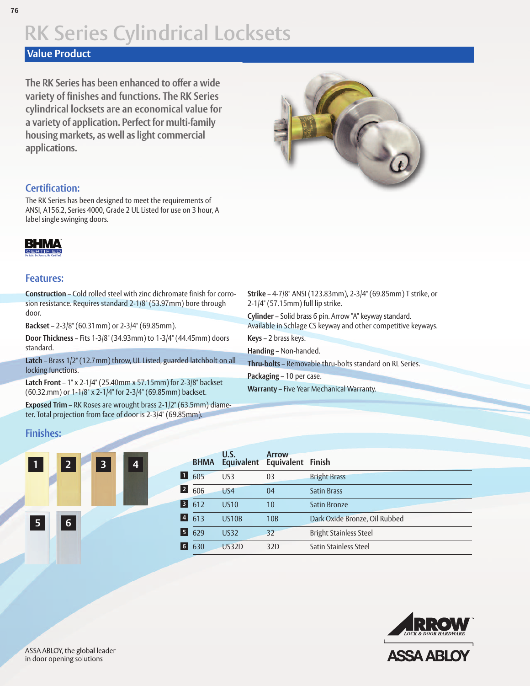### **Value Product**

**The RK Series has been enhanced to offer a wide variety of finishes and functions. The RK Series cylindrical locksets are an economical value for a variety of application. Perfect for multi-family housing markets, as well as light commercial applications.**



#### **Certification:**

The RK Series has been designed to meet the requirements of ANSI, A156.2, Series 4000, Grade 2 UL Listed for use on 3 hour, A label single swinging doors.

# BHMA

#### **Features:**

**Construction** – Cold rolled steel with zinc dichromate finish for corrosion resistance. Requires standard 2-1/8" (53.97mm) bore through door.

**Backset** – 2-3/8" (60.31mm) or 2-3/4" (69.85mm).

**Door Thickness** – Fits 1-3/8" (34.93mm) to 1-3/4" (44.45mm) doors standard.

**Latch** – Brass 1/2" (12.7mm) throw, UL Listed, guarded latchbolt on all locking functions.

**Latch Front** – 1" x 2-1/4" (25.40mm x 57.15mm) for 2-3/8" backset (60.32.mm) or 1-1/8" x 2-1/4" for 2-3/4" (69.85mm) backset.

**Exposed Trim** – RK Roses are wrought brass 2-1/2" (63.5mm) diameter. Total projection from face of door is 2-3/4" (69.85mm).

**Strike** – 4-7/8" ANSI (123.83mm), 2-3/4" (69.85mm) T strike, or 2-1/4" (57.15mm) full lip strike.

**Cylinder** – Solid brass 6 pin. Arrow "A" keyway standard. Available in Schlage CS keyway and other competitive keyways. **Keys** – 2 brass keys.

**Handing** – Non-handed.

**Thru-bolts** – Removable thru-bolts standard on RL Series.

**Packaging** – 10 per case.

**Warranty** – Five Year Mechanical Warranty.

#### **Finishes:**



| <b>BHMA</b> | U.S.            | <b>Arrow</b> |                               |  |
|-------------|-----------------|--------------|-------------------------------|--|
| 605         | US <sub>3</sub> | 03           | <b>Bright Brass</b>           |  |
| 606         | US4             | 04           | <b>Satin Brass</b>            |  |
| 612         | <b>US10</b>     | 10           | <b>Satin Bronze</b>           |  |
| 613         | <b>US10B</b>    | 10B          | Dark Oxide Bronze, Oil Rubbed |  |
| 629         | <b>US32</b>     | 32           | <b>Bright Stainless Steel</b> |  |
| 630         | <b>US32D</b>    | 32D          | Satin Stainless Steel         |  |
|             |                 |              | Equivalent Equivalent Finish  |  |

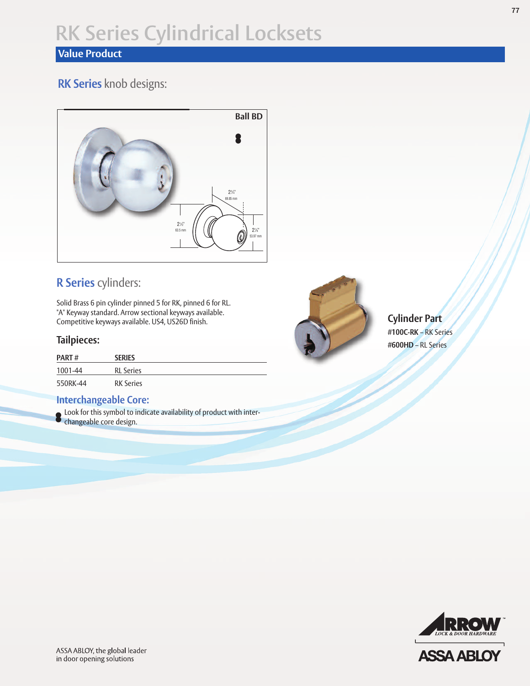## **Value Product**

## **RK Series** knob designs:



## **R Series** cylinders:

Solid Brass 6 pin cylinder pinned 5 for RK, pinned 6 for RL. "A" Keyway standard. Arrow sectional keyways available. Competitive keyways available. US4, US26D finish.

## **Tailpieces:**

| <b>PART#</b> | <b>SERIES</b>    |
|--------------|------------------|
| 1001-44      | <b>RL</b> Series |
| 550RK-44     | <b>RK Series</b> |

### **Interchangeable Core:**

Look for this symbol to indicate availability of product with interchangeable core design.



**Cylinder Part #100C-RK** – RK Series **#600HD** – RL Series

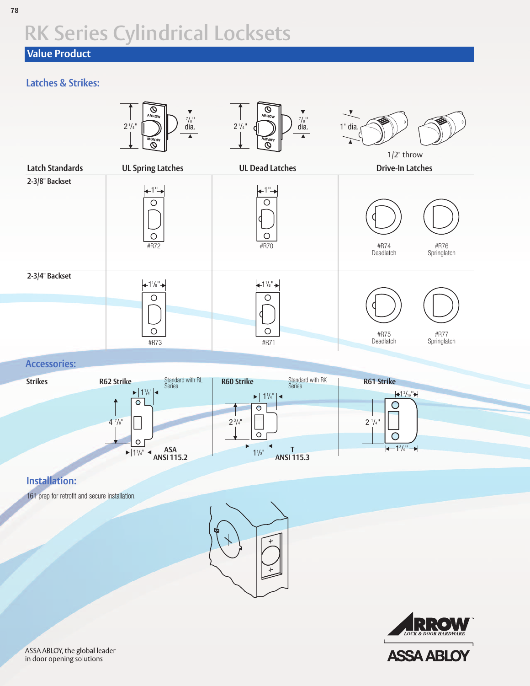## **Value Product**

## **Latches & Strikes:**



#### **Accessories:**



### **Installation:**

161 prep for retrofit and secure installation.





ASSA ABLOY, the global leader in door opening solutions